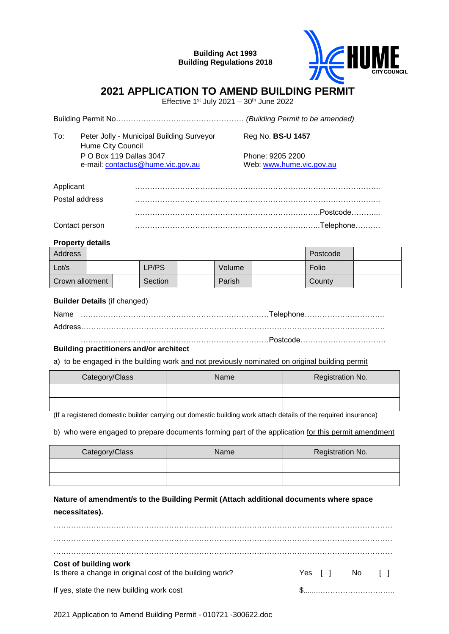**Building Act 1993 Building Regulations 2018**



# **2021 APPLICATION TO AMEND BUILDING PERMIT**

Effective 1st July 2021 –  $30<sup>th</sup>$  June 2022

Building Permit No…………………………………………… *(Building Permit to be amended)*

| To: | Peter Jolly - Municipal Building Surveyor<br>Hume City Council | Reg No. <b>BS-U 1457</b>                     |  |  |
|-----|----------------------------------------------------------------|----------------------------------------------|--|--|
|     | P O Box 119 Dallas 3047<br>e-mail: contactus@hume.vic.gov.au   | Phone: 9205 2200<br>Web: www.hume.vic.gov.au |  |  |

| Applicant      |  |
|----------------|--|
| Postal address |  |
|                |  |
| Contact person |  |

#### **Property details**

| <b>Address</b>  |  |  |                |  | Postcode |  |        |  |
|-----------------|--|--|----------------|--|----------|--|--------|--|
| Lot/s           |  |  | LP/PS          |  | Volume   |  | Folio  |  |
| Crown allotment |  |  | <b>Section</b> |  | Parish   |  | County |  |

#### **Builder Details** (if changed)

Name …………………………………………………………………Telephone………………………….. Address…………………………………………………………………………………………………………. …………………………………………………………………Postcode…………………………….

## **Building practitioners and/or architect**

a) to be engaged in the building work and not previously nominated on original building permit

| Category/Class | Name | Registration No. |  |
|----------------|------|------------------|--|
|                |      |                  |  |
|                |      |                  |  |

(If a registered domestic builder carrying out domestic building work attach details of the required insurance)

b) who were engaged to prepare documents forming part of the application for this permit amendment

| Category/Class | Name | Registration No. |  |
|----------------|------|------------------|--|
|                |      |                  |  |
|                |      |                  |  |

**Nature of amendment/s to the Building Permit (Attach additional documents where space necessitates).**

| Cost of building work                                    |                |
|----------------------------------------------------------|----------------|
| Is there a change in original cost of the building work? | Yes [ ] No [ ] |
| If yes, state the new building work cost                 |                |